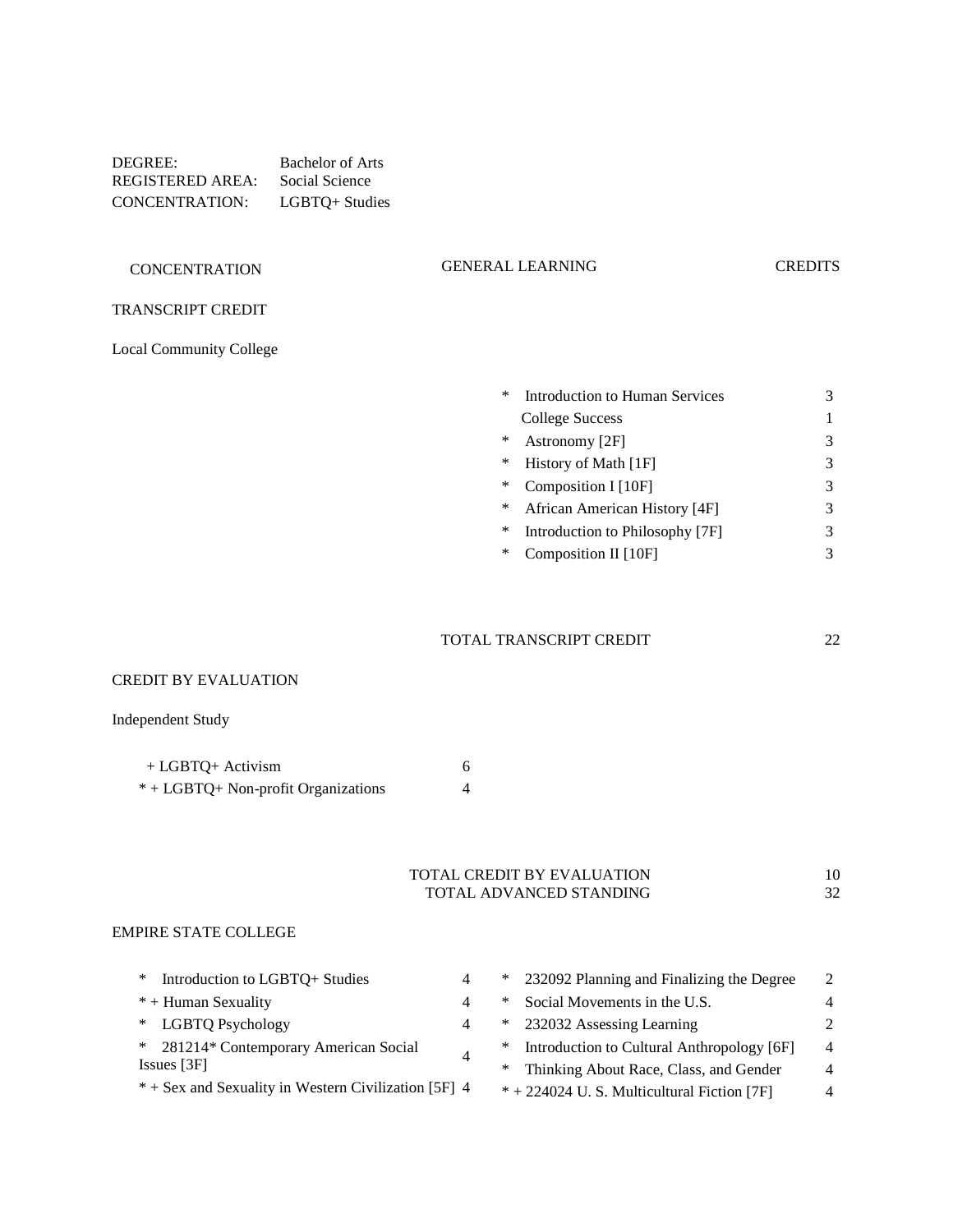DEGREE: Bachelor of Arts<br>REGISTERED AREA: Social Science REGISTERED AREA: CONCENTRATION: LGBTQ+ Studies

# CONCENTRATION GENERAL LEARNING CREDITS

#### TRANSCRIPT CREDIT

Local Community College

| $\ast$ | <b>Introduction to Human Services</b> |   |
|--------|---------------------------------------|---|
|        | College Success                       |   |
| ∗      | Astronomy [2F]                        | 3 |
| *      | History of Math [1F]                  | 3 |
| $\ast$ | Composition I [10F]                   | 3 |
| $\ast$ | African American History [4F]         |   |
| ∗      | Introduction to Philosophy [7F]       |   |
| $\ast$ | Composition II [10F]                  |   |

#### TOTAL TRANSCRIPT CREDIT 22

CREDIT BY EVALUATION

Independent Study

| + LGBTQ+ Activism                   |  |
|-------------------------------------|--|
| * + LGBTQ+ Non-profit Organizations |  |

## TOTAL CREDIT BY EVALUATION 10<br>TOTAL ADVANCED STANDING 32 TOTAL ADVANCED STANDING

### EMPIRE STATE COLLEGE

| Introduction to LGBTQ+ Studies<br>∗                                         |           | 232092 Planning and Finalizing the Degree<br>∗  | 2              |
|-----------------------------------------------------------------------------|-----------|-------------------------------------------------|----------------|
| $*$ + Human Sexuality                                                       |           | Social Movements in the U.S.<br>∗               | $\overline{4}$ |
| <b>LGBTQ Psychology</b><br>$*$                                              |           | 232032 Assessing Learning<br>∗                  | $\mathcal{L}$  |
| * 281214* Contemporary American Social                                      | $\Lambda$ | Introduction to Cultural Anthropology [6F]<br>∗ | $\overline{4}$ |
| $Issues$ [ $3F$ ]<br>$*$ + Sex and Sexuality in Western Civilization [5F] 4 |           | Thinking About Race, Class, and Gender<br>∗     | $\overline{4}$ |
|                                                                             |           | $* + 224024$ U.S. Multicultural Fiction [7F]    | $\overline{4}$ |